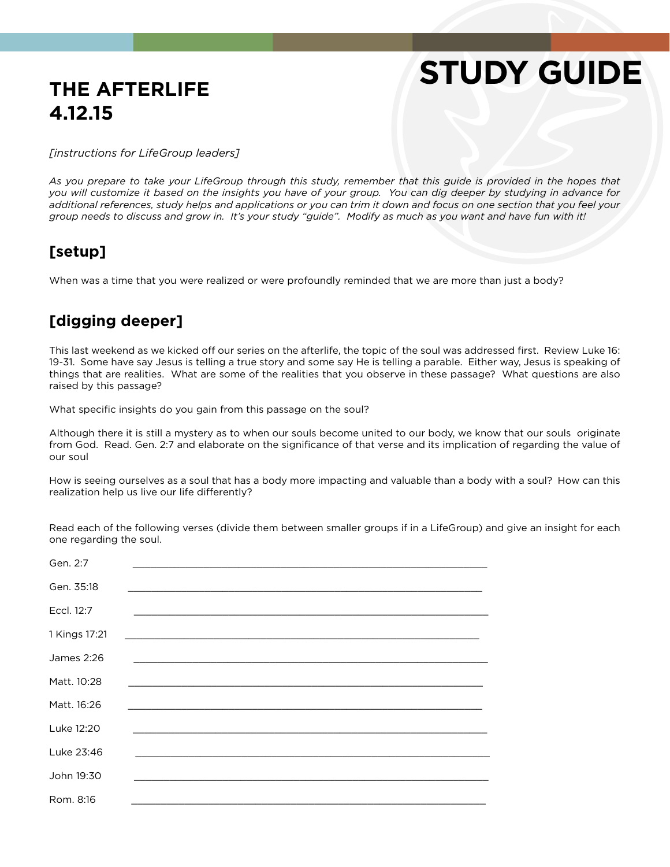## **THE AFTERLIFE 4.12.15**

# **STUDY GUIDE**

*[instructions for LifeGroup leaders]*

As you prepare to take your LifeGroup through this study, remember that this guide is provided in the hopes that *you will customize it based on the insights you have of your group. You can dig deeper by studying in advance for additional references, study helps and applications or you can trim it down and focus on one section that you feel your group needs to discuss and grow in. It's your study "guide". Modify as much as you want and have fun with it!*

#### **[setup]**

When was a time that you were realized or were profoundly reminded that we are more than just a body?

#### **[digging deeper]**

This last weekend as we kicked off our series on the afterlife, the topic of the soul was addressed first. Review Luke 16: 19-31. Some have say Jesus is telling a true story and some say He is telling a parable. Either way, Jesus is speaking of things that are realities. What are some of the realities that you observe in these passage? What questions are also raised by this passage?

What specific insights do you gain from this passage on the soul?

Although there it is still a mystery as to when our souls become united to our body, we know that our souls originate from God. Read. Gen. 2:7 and elaborate on the significance of that verse and its implication of regarding the value of our soul

How is seeing ourselves as a soul that has a body more impacting and valuable than a body with a soul? How can this realization help us live our life differently?

Read each of the following verses (divide them between smaller groups if in a LifeGroup) and give an insight for each one regarding the soul.

| Gen. 2:7      |                                                             |
|---------------|-------------------------------------------------------------|
| Gen. 35:18    |                                                             |
| Eccl. 12:7    | <u> 1999 - Jan Barnett, amerikansk politiker (d. 1989)</u>  |
| 1 Kings 17:21 |                                                             |
| James 2:26    |                                                             |
| Matt. 10:28   | <u> 1989 - Johann Stoff, amerikansk politiker (d. 1989)</u> |
| Matt. 16:26   |                                                             |
| Luke 12:20    |                                                             |
| Luke 23:46    |                                                             |
| John 19:30    |                                                             |
| Rom. 8:16     | <u> 1989 - Johann Stoff, amerikansk politiker (* 1908)</u>  |